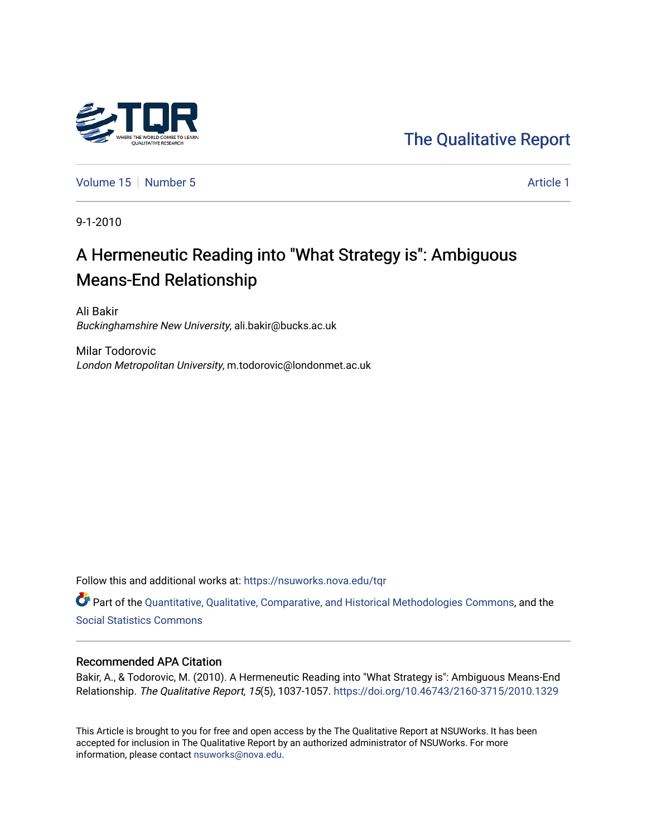

[The Qualitative Report](https://nsuworks.nova.edu/tqr) 

[Volume 15](https://nsuworks.nova.edu/tqr/vol15) [Number 5](https://nsuworks.nova.edu/tqr/vol15/iss5) Article 1

9-1-2010

## A Hermeneutic Reading into "What Strategy is": Ambiguous Means-End Relationship

Ali Bakir Buckinghamshire New University, ali.bakir@bucks.ac.uk

Milar Todorovic London Metropolitan University, m.todorovic@londonmet.ac.uk

Follow this and additional works at: [https://nsuworks.nova.edu/tqr](https://nsuworks.nova.edu/tqr?utm_source=nsuworks.nova.edu%2Ftqr%2Fvol15%2Fiss5%2F1&utm_medium=PDF&utm_campaign=PDFCoverPages) 

Part of the [Quantitative, Qualitative, Comparative, and Historical Methodologies Commons,](http://network.bepress.com/hgg/discipline/423?utm_source=nsuworks.nova.edu%2Ftqr%2Fvol15%2Fiss5%2F1&utm_medium=PDF&utm_campaign=PDFCoverPages) and the [Social Statistics Commons](http://network.bepress.com/hgg/discipline/1275?utm_source=nsuworks.nova.edu%2Ftqr%2Fvol15%2Fiss5%2F1&utm_medium=PDF&utm_campaign=PDFCoverPages) 

#### Recommended APA Citation

Bakir, A., & Todorovic, M. (2010). A Hermeneutic Reading into "What Strategy is": Ambiguous Means-End Relationship. The Qualitative Report, 15(5), 1037-1057. <https://doi.org/10.46743/2160-3715/2010.1329>

This Article is brought to you for free and open access by the The Qualitative Report at NSUWorks. It has been accepted for inclusion in The Qualitative Report by an authorized administrator of NSUWorks. For more information, please contact [nsuworks@nova.edu.](mailto:nsuworks@nova.edu)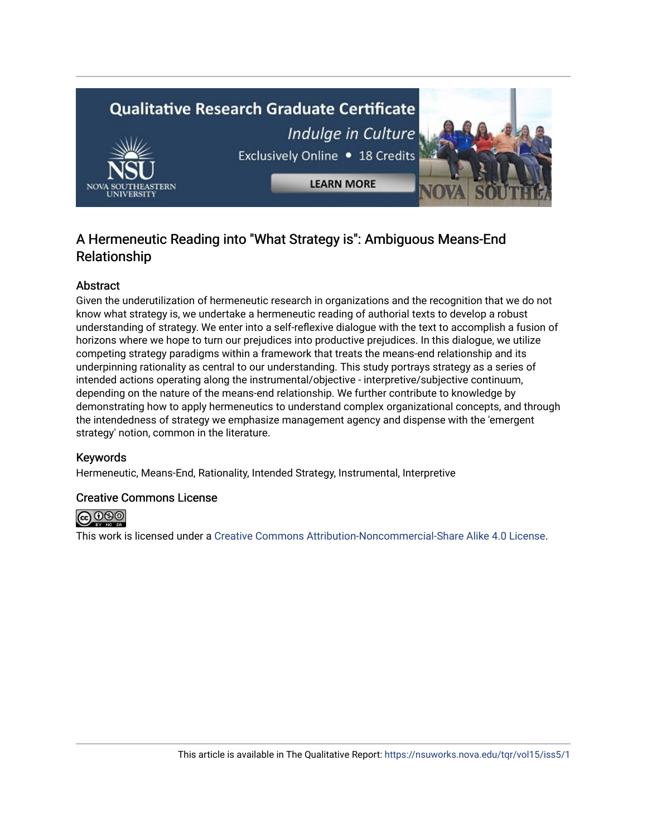# **Qualitative Research Graduate Certificate** Indulge in Culture Exclusively Online . 18 Credits **LEARN MORE**

## A Hermeneutic Reading into "What Strategy is": Ambiguous Means-End Relationship

#### Abstract

Given the underutilization of hermeneutic research in organizations and the recognition that we do not know what strategy is, we undertake a hermeneutic reading of authorial texts to develop a robust understanding of strategy. We enter into a self-reflexive dialogue with the text to accomplish a fusion of horizons where we hope to turn our prejudices into productive prejudices. In this dialogue, we utilize competing strategy paradigms within a framework that treats the means-end relationship and its underpinning rationality as central to our understanding. This study portrays strategy as a series of intended actions operating along the instrumental/objective - interpretive/subjective continuum, depending on the nature of the means-end relationship. We further contribute to knowledge by demonstrating how to apply hermeneutics to understand complex organizational concepts, and through the intendedness of strategy we emphasize management agency and dispense with the 'emergent strategy' notion, common in the literature.

#### Keywords

Hermeneutic, Means-End, Rationality, Intended Strategy, Instrumental, Interpretive

#### Creative Commons License



This work is licensed under a [Creative Commons Attribution-Noncommercial-Share Alike 4.0 License](https://creativecommons.org/licenses/by-nc-sa/4.0/).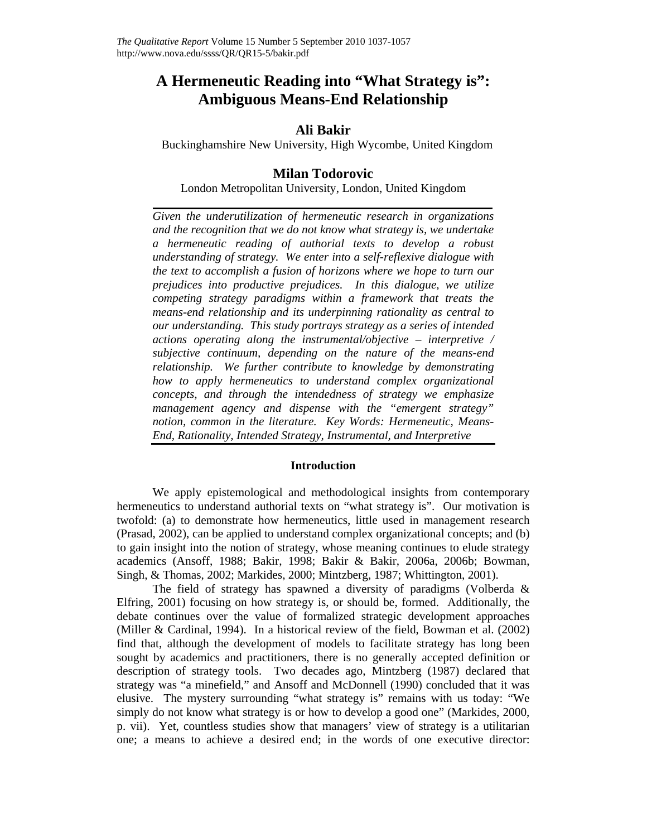## **A Hermeneutic Reading into "What Strategy is": Ambiguous Means-End Relationship**

#### **Ali Bakir**

Buckinghamshire New University, High Wycombe, United Kingdom

#### **Milan Todorovic**

London Metropolitan University, London, United Kingdom

*Given the underutilization of hermeneutic research in organizations and the recognition that we do not know what strategy is, we undertake a hermeneutic reading of authorial texts to develop a robust understanding of strategy. We enter into a self-reflexive dialogue with the text to accomplish a fusion of horizons where we hope to turn our prejudices into productive prejudices. In this dialogue, we utilize competing strategy paradigms within a framework that treats the means-end relationship and its underpinning rationality as central to our understanding. This study portrays strategy as a series of intended actions operating along the instrumental/objective – interpretive / subjective continuum, depending on the nature of the means-end relationship. We further contribute to knowledge by demonstrating how to apply hermeneutics to understand complex organizational concepts, and through the intendedness of strategy we emphasize management agency and dispense with the "emergent strategy" notion, common in the literature. Key Words: Hermeneutic, Means-End, Rationality, Intended Strategy, Instrumental, and Interpretive* 

#### **Introduction**

We apply epistemological and methodological insights from contemporary hermeneutics to understand authorial texts on "what strategy is". Our motivation is twofold: (a) to demonstrate how hermeneutics, little used in management research (Prasad, 2002), can be applied to understand complex organizational concepts; and (b) to gain insight into the notion of strategy, whose meaning continues to elude strategy academics (Ansoff, 1988; Bakir, 1998; Bakir & Bakir, 2006a, 2006b; Bowman, Singh, & Thomas, 2002; Markides, 2000; Mintzberg, 1987; Whittington, 2001).

The field of strategy has spawned a diversity of paradigms (Volberda & Elfring, 2001) focusing on how strategy is, or should be, formed. Additionally, the debate continues over the value of formalized strategic development approaches (Miller & Cardinal, 1994). In a historical review of the field, Bowman et al. (2002) find that, although the development of models to facilitate strategy has long been sought by academics and practitioners, there is no generally accepted definition or description of strategy tools. Two decades ago, Mintzberg (1987) declared that strategy was "a minefield," and Ansoff and McDonnell (1990) concluded that it was elusive. The mystery surrounding "what strategy is" remains with us today: "We simply do not know what strategy is or how to develop a good one" (Markides, 2000, p. vii). Yet, countless studies show that managers' view of strategy is a utilitarian one; a means to achieve a desired end; in the words of one executive director: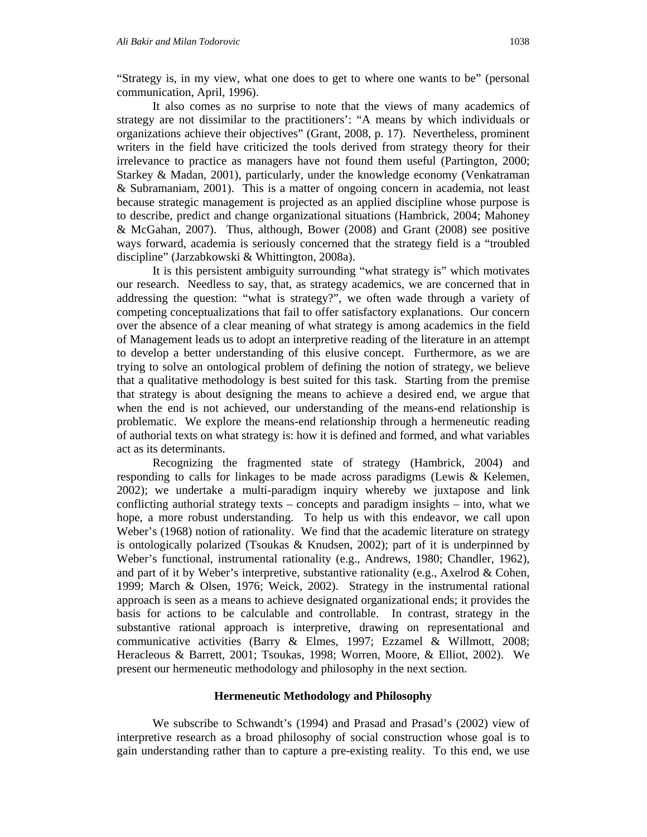"Strategy is, in my view, what one does to get to where one wants to be" (personal communication, April, 1996).

It also comes as no surprise to note that the views of many academics of strategy are not dissimilar to the practitioners': "A means by which individuals or organizations achieve their objectives" (Grant, 2008, p. 17). Nevertheless, prominent writers in the field have criticized the tools derived from strategy theory for their irrelevance to practice as managers have not found them useful (Partington, 2000; Starkey & Madan, 2001), particularly, under the knowledge economy (Venkatraman & Subramaniam, 2001). This is a matter of ongoing concern in academia, not least because strategic management is projected as an applied discipline whose purpose is to describe, predict and change organizational situations (Hambrick, 2004; Mahoney & McGahan, 2007). Thus, although, Bower (2008) and Grant (2008) see positive ways forward, academia is seriously concerned that the strategy field is a "troubled discipline" (Jarzabkowski & Whittington, 2008a).

It is this persistent ambiguity surrounding "what strategy is" which motivates our research. Needless to say, that, as strategy academics, we are concerned that in addressing the question: "what is strategy?", we often wade through a variety of competing conceptualizations that fail to offer satisfactory explanations. Our concern over the absence of a clear meaning of what strategy is among academics in the field of Management leads us to adopt an interpretive reading of the literature in an attempt to develop a better understanding of this elusive concept. Furthermore, as we are trying to solve an ontological problem of defining the notion of strategy, we believe that a qualitative methodology is best suited for this task. Starting from the premise that strategy is about designing the means to achieve a desired end, we argue that when the end is not achieved, our understanding of the means-end relationship is problematic. We explore the means-end relationship through a hermeneutic reading of authorial texts on what strategy is: how it is defined and formed, and what variables act as its determinants.

Recognizing the fragmented state of strategy (Hambrick, 2004) and responding to calls for linkages to be made across paradigms (Lewis & Kelemen, 2002); we undertake a multi-paradigm inquiry whereby we juxtapose and link conflicting authorial strategy texts – concepts and paradigm insights – into, what we hope, a more robust understanding. To help us with this endeavor, we call upon Weber's (1968) notion of rationality. We find that the academic literature on strategy is ontologically polarized (Tsoukas & Knudsen, 2002); part of it is underpinned by Weber's functional, instrumental rationality (e.g., Andrews, 1980; Chandler, 1962), and part of it by Weber's interpretive, substantive rationality (e.g., Axelrod & Cohen, 1999; March & Olsen, 1976; Weick, 2002). Strategy in the instrumental rational approach is seen as a means to achieve designated organizational ends; it provides the basis for actions to be calculable and controllable. In contrast, strategy in the substantive rational approach is interpretive, drawing on representational and communicative activities (Barry & Elmes, 1997; Ezzamel & Willmott, 2008; Heracleous & Barrett, 2001; Tsoukas, 1998; Worren, Moore, & Elliot, 2002). We present our hermeneutic methodology and philosophy in the next section.

#### **Hermeneutic Methodology and Philosophy**

We subscribe to Schwandt's (1994) and Prasad and Prasad's (2002) view of interpretive research as a broad philosophy of social construction whose goal is to gain understanding rather than to capture a pre-existing reality. To this end, we use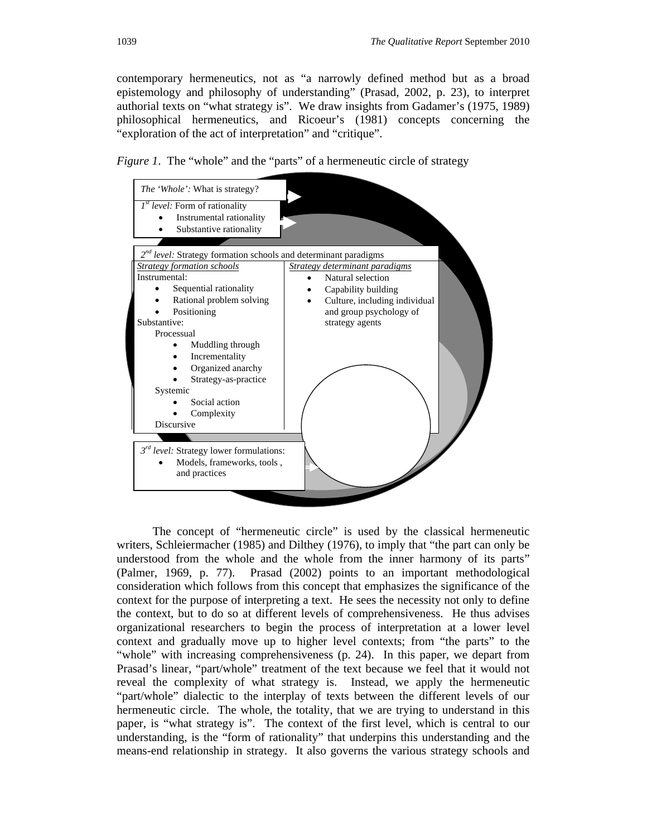contemporary hermeneutics, not as "a narrowly defined method but as a broad epistemology and philosophy of understanding" (Prasad, 2002, p. 23), to interpret authorial texts on "what strategy is". We draw insights from Gadamer's (1975, 1989) philosophical hermeneutics, and Ricoeur's (1981) concepts concerning the "exploration of the act of interpretation" and "critique".





The concept of "hermeneutic circle" is used by the classical hermeneutic writers, Schleiermacher (1985) and Dilthey (1976), to imply that "the part can only be understood from the whole and the whole from the inner harmony of its parts" (Palmer, 1969, p. 77). Prasad (2002) points to an important methodological consideration which follows from this concept that emphasizes the significance of the context for the purpose of interpreting a text. He sees the necessity not only to define the context, but to do so at different levels of comprehensiveness. He thus advises organizational researchers to begin the process of interpretation at a lower level context and gradually move up to higher level contexts; from "the parts" to the "whole" with increasing comprehensiveness (p. 24). In this paper, we depart from Prasad's linear, "part/whole" treatment of the text because we feel that it would not reveal the complexity of what strategy is. Instead, we apply the hermeneutic "part/whole" dialectic to the interplay of texts between the different levels of our hermeneutic circle. The whole, the totality, that we are trying to understand in this paper, is "what strategy is". The context of the first level, which is central to our understanding, is the "form of rationality" that underpins this understanding and the means-end relationship in strategy. It also governs the various strategy schools and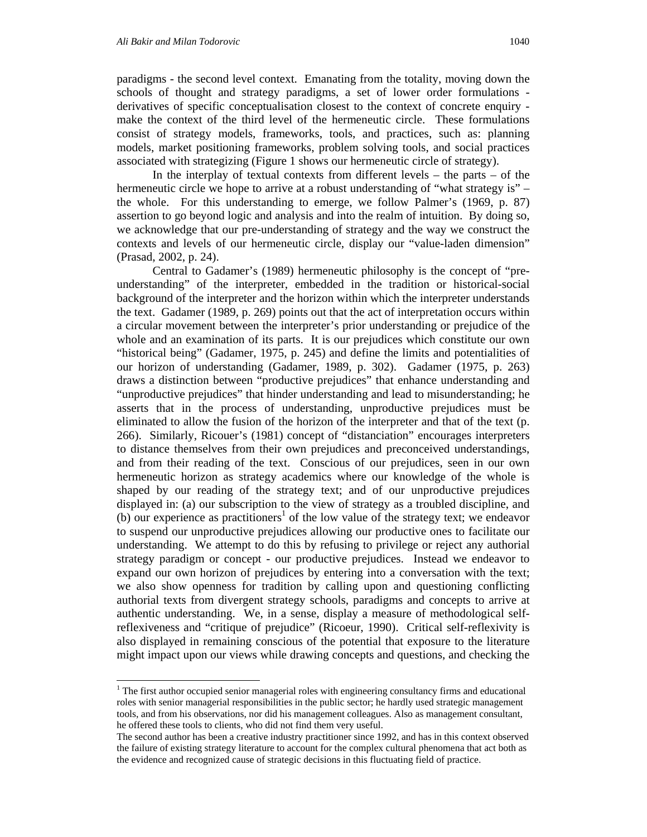1

paradigms - the second level context. Emanating from the totality, moving down the schools of thought and strategy paradigms, a set of lower order formulations derivatives of specific conceptualisation closest to the context of concrete enquiry make the context of the third level of the hermeneutic circle. These formulations consist of strategy models, frameworks, tools, and practices, such as: planning models, market positioning frameworks, problem solving tools, and social practices associated with strategizing (Figure 1 shows our hermeneutic circle of strategy).

In the interplay of textual contexts from different levels  $-$  the parts  $-$  of the hermeneutic circle we hope to arrive at a robust understanding of "what strategy is" – the whole. For this understanding to emerge, we follow Palmer's (1969, p. 87) assertion to go beyond logic and analysis and into the realm of intuition. By doing so, we acknowledge that our pre-understanding of strategy and the way we construct the contexts and levels of our hermeneutic circle, display our "value-laden dimension" (Prasad, 2002, p. 24).

Central to Gadamer's (1989) hermeneutic philosophy is the concept of "preunderstanding" of the interpreter, embedded in the tradition or historical-social background of the interpreter and the horizon within which the interpreter understands the text. Gadamer (1989, p. 269) points out that the act of interpretation occurs within a circular movement between the interpreter's prior understanding or prejudice of the whole and an examination of its parts. It is our prejudices which constitute our own "historical being" (Gadamer, 1975, p. 245) and define the limits and potentialities of our horizon of understanding (Gadamer, 1989, p. 302). Gadamer (1975, p. 263) draws a distinction between "productive prejudices" that enhance understanding and "unproductive prejudices" that hinder understanding and lead to misunderstanding; he asserts that in the process of understanding, unproductive prejudices must be eliminated to allow the fusion of the horizon of the interpreter and that of the text (p. 266). Similarly, Ricouer's (1981) concept of "distanciation" encourages interpreters to distance themselves from their own prejudices and preconceived understandings, and from their reading of the text. Conscious of our prejudices, seen in our own hermeneutic horizon as strategy academics where our knowledge of the whole is shaped by our reading of the strategy text; and of our unproductive prejudices displayed in: (a) our subscription to the view of strategy as a troubled discipline, and  $(b)$  our experience as practitioners<sup>1</sup> of the low value of the strategy text; we endeavor to suspend our unproductive prejudices allowing our productive ones to facilitate our understanding. We attempt to do this by refusing to privilege or reject any authorial strategy paradigm or concept - our productive prejudices. Instead we endeavor to expand our own horizon of prejudices by entering into a conversation with the text; we also show openness for tradition by calling upon and questioning conflicting authorial texts from divergent strategy schools, paradigms and concepts to arrive at authentic understanding. We, in a sense, display a measure of methodological selfreflexiveness and "critique of prejudice" (Ricoeur, 1990). Critical self-reflexivity is also displayed in remaining conscious of the potential that exposure to the literature might impact upon our views while drawing concepts and questions, and checking the

<sup>&</sup>lt;sup>1</sup> The first author occupied senior managerial roles with engineering consultancy firms and educational roles with senior managerial responsibilities in the public sector; he hardly used strategic management tools, and from his observations, nor did his management colleagues. Also as management consultant, he offered these tools to clients, who did not find them very useful.

The second author has been a creative industry practitioner since 1992, and has in this context observed the failure of existing strategy literature to account for the complex cultural phenomena that act both as the evidence and recognized cause of strategic decisions in this fluctuating field of practice.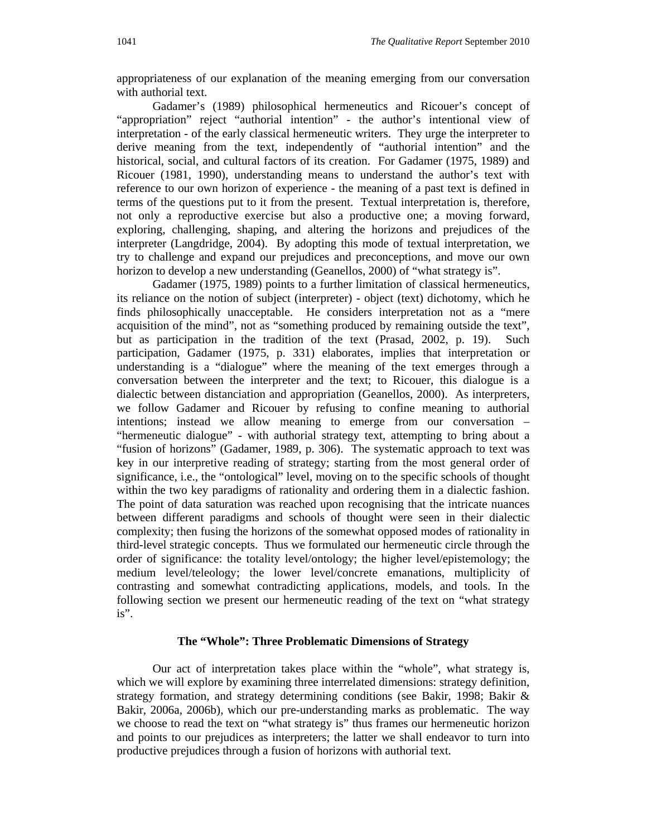appropriateness of our explanation of the meaning emerging from our conversation with authorial text.

Gadamer's (1989) philosophical hermeneutics and Ricouer's concept of "appropriation" reject "authorial intention" - the author's intentional view of interpretation - of the early classical hermeneutic writers. They urge the interpreter to derive meaning from the text, independently of "authorial intention" and the historical, social, and cultural factors of its creation. For Gadamer (1975, 1989) and Ricouer (1981, 1990), understanding means to understand the author's text with reference to our own horizon of experience - the meaning of a past text is defined in terms of the questions put to it from the present. Textual interpretation is, therefore, not only a reproductive exercise but also a productive one; a moving forward, exploring, challenging, shaping, and altering the horizons and prejudices of the interpreter (Langdridge, 2004). By adopting this mode of textual interpretation, we try to challenge and expand our prejudices and preconceptions, and move our own horizon to develop a new understanding (Geanellos, 2000) of "what strategy is".

Gadamer (1975, 1989) points to a further limitation of classical hermeneutics, its reliance on the notion of subject (interpreter) - object (text) dichotomy, which he finds philosophically unacceptable. He considers interpretation not as a "mere acquisition of the mind", not as "something produced by remaining outside the text", but as participation in the tradition of the text (Prasad, 2002, p. 19). Such participation, Gadamer (1975, p. 331) elaborates, implies that interpretation or understanding is a "dialogue" where the meaning of the text emerges through a conversation between the interpreter and the text; to Ricouer, this dialogue is a dialectic between distanciation and appropriation (Geanellos, 2000). As interpreters, we follow Gadamer and Ricouer by refusing to confine meaning to authorial intentions; instead we allow meaning to emerge from our conversation – "hermeneutic dialogue" - with authorial strategy text, attempting to bring about a "fusion of horizons" (Gadamer, 1989, p. 306). The systematic approach to text was key in our interpretive reading of strategy; starting from the most general order of significance, i.e., the "ontological" level, moving on to the specific schools of thought within the two key paradigms of rationality and ordering them in a dialectic fashion. The point of data saturation was reached upon recognising that the intricate nuances between different paradigms and schools of thought were seen in their dialectic complexity; then fusing the horizons of the somewhat opposed modes of rationality in third-level strategic concepts. Thus we formulated our hermeneutic circle through the order of significance: the totality level/ontology; the higher level/epistemology; the medium level/teleology; the lower level/concrete emanations, multiplicity of contrasting and somewhat contradicting applications, models, and tools. In the following section we present our hermeneutic reading of the text on "what strategy is".

#### **The "Whole": Three Problematic Dimensions of Strategy**

Our act of interpretation takes place within the "whole", what strategy is, which we will explore by examining three interrelated dimensions: strategy definition, strategy formation, and strategy determining conditions (see Bakir, 1998; Bakir & Bakir, 2006a, 2006b), which our pre-understanding marks as problematic. The way we choose to read the text on "what strategy is" thus frames our hermeneutic horizon and points to our prejudices as interpreters; the latter we shall endeavor to turn into productive prejudices through a fusion of horizons with authorial text.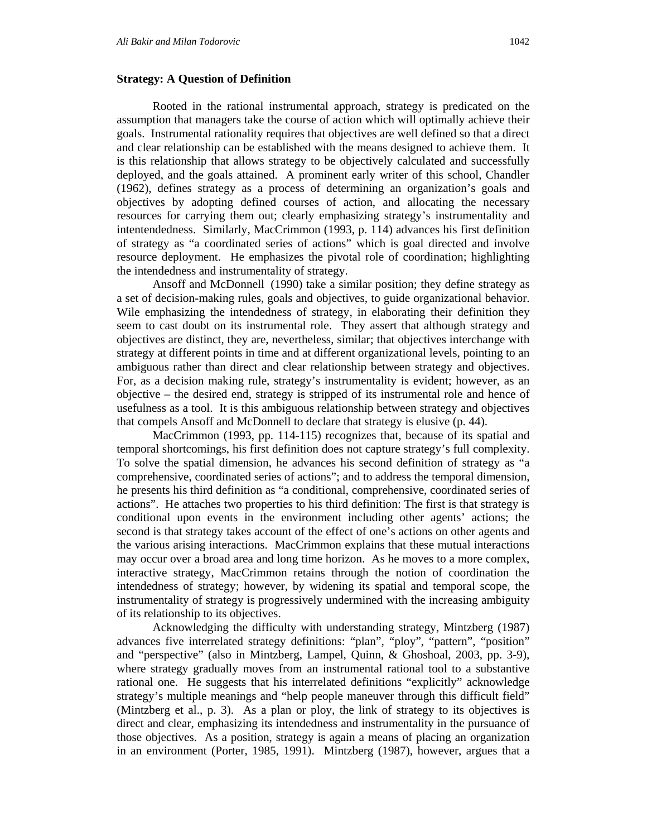#### **Strategy: A Question of Definition**

Rooted in the rational instrumental approach, strategy is predicated on the assumption that managers take the course of action which will optimally achieve their goals. Instrumental rationality requires that objectives are well defined so that a direct and clear relationship can be established with the means designed to achieve them. It is this relationship that allows strategy to be objectively calculated and successfully deployed, and the goals attained. A prominent early writer of this school, Chandler (1962), defines strategy as a process of determining an organization's goals and objectives by adopting defined courses of action, and allocating the necessary resources for carrying them out; clearly emphasizing strategy's instrumentality and intentendedness. Similarly, MacCrimmon (1993, p. 114) advances his first definition of strategy as "a coordinated series of actions" which is goal directed and involve resource deployment. He emphasizes the pivotal role of coordination; highlighting the intendedness and instrumentality of strategy.

Ansoff and McDonnell (1990) take a similar position; they define strategy as a set of decision-making rules, goals and objectives, to guide organizational behavior. Wile emphasizing the intendedness of strategy, in elaborating their definition they seem to cast doubt on its instrumental role. They assert that although strategy and objectives are distinct, they are, nevertheless, similar; that objectives interchange with strategy at different points in time and at different organizational levels, pointing to an ambiguous rather than direct and clear relationship between strategy and objectives. For, as a decision making rule, strategy's instrumentality is evident; however, as an objective – the desired end, strategy is stripped of its instrumental role and hence of usefulness as a tool. It is this ambiguous relationship between strategy and objectives that compels Ansoff and McDonnell to declare that strategy is elusive (p. 44).

MacCrimmon (1993, pp. 114-115) recognizes that, because of its spatial and temporal shortcomings, his first definition does not capture strategy's full complexity. To solve the spatial dimension, he advances his second definition of strategy as "a comprehensive, coordinated series of actions"; and to address the temporal dimension, he presents his third definition as "a conditional, comprehensive, coordinated series of actions". He attaches two properties to his third definition: The first is that strategy is conditional upon events in the environment including other agents' actions; the second is that strategy takes account of the effect of one's actions on other agents and the various arising interactions. MacCrimmon explains that these mutual interactions may occur over a broad area and long time horizon. As he moves to a more complex, interactive strategy, MacCrimmon retains through the notion of coordination the intendedness of strategy; however, by widening its spatial and temporal scope, the instrumentality of strategy is progressively undermined with the increasing ambiguity of its relationship to its objectives.

Acknowledging the difficulty with understanding strategy, Mintzberg (1987) advances five interrelated strategy definitions: "plan", "ploy", "pattern", "position" and "perspective" (also in Mintzberg, Lampel, Quinn, & Ghoshoal, 2003, pp. 3-9), where strategy gradually moves from an instrumental rational tool to a substantive rational one. He suggests that his interrelated definitions "explicitly" acknowledge strategy's multiple meanings and "help people maneuver through this difficult field" (Mintzberg et al., p. 3). As a plan or ploy, the link of strategy to its objectives is direct and clear, emphasizing its intendedness and instrumentality in the pursuance of those objectives. As a position, strategy is again a means of placing an organization in an environment (Porter, 1985, 1991). Mintzberg (1987), however, argues that a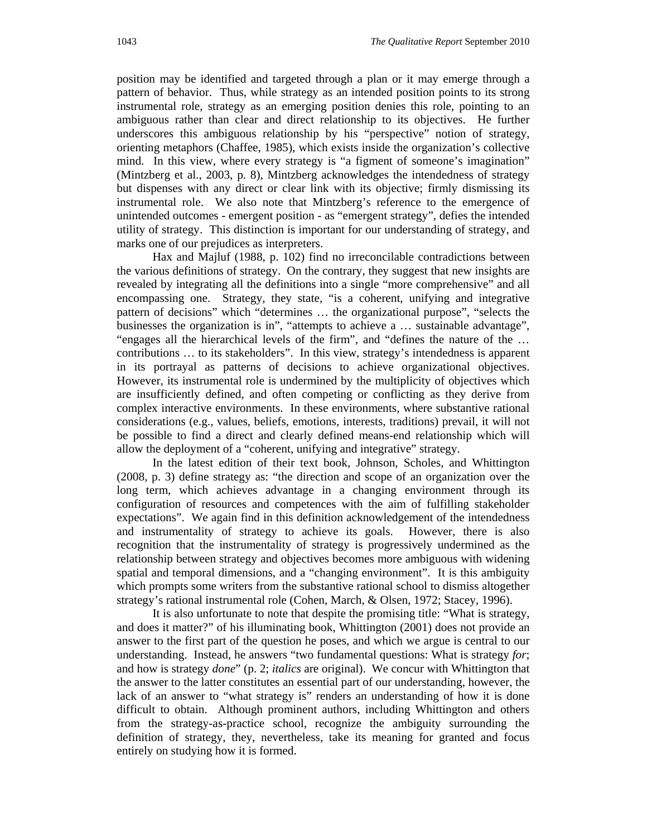position may be identified and targeted through a plan or it may emerge through a pattern of behavior. Thus, while strategy as an intended position points to its strong instrumental role, strategy as an emerging position denies this role, pointing to an ambiguous rather than clear and direct relationship to its objectives. He further underscores this ambiguous relationship by his "perspective" notion of strategy, orienting metaphors (Chaffee, 1985), which exists inside the organization's collective mind. In this view, where every strategy is "a figment of someone's imagination" (Mintzberg et al., 2003, p. 8), Mintzberg acknowledges the intendedness of strategy but dispenses with any direct or clear link with its objective; firmly dismissing its instrumental role. We also note that Mintzberg's reference to the emergence of unintended outcomes - emergent position - as "emergent strategy", defies the intended utility of strategy. This distinction is important for our understanding of strategy, and marks one of our prejudices as interpreters.

Hax and Majluf (1988, p. 102) find no irreconcilable contradictions between the various definitions of strategy. On the contrary, they suggest that new insights are revealed by integrating all the definitions into a single "more comprehensive" and all encompassing one. Strategy, they state, "is a coherent, unifying and integrative pattern of decisions" which "determines … the organizational purpose", "selects the businesses the organization is in", "attempts to achieve a … sustainable advantage", "engages all the hierarchical levels of the firm", and "defines the nature of the … contributions … to its stakeholders". In this view, strategy's intendedness is apparent in its portrayal as patterns of decisions to achieve organizational objectives. However, its instrumental role is undermined by the multiplicity of objectives which are insufficiently defined, and often competing or conflicting as they derive from complex interactive environments. In these environments, where substantive rational considerations (e.g., values, beliefs, emotions, interests, traditions) prevail, it will not be possible to find a direct and clearly defined means-end relationship which will allow the deployment of a "coherent, unifying and integrative" strategy.

In the latest edition of their text book, Johnson, Scholes, and Whittington (2008, p. 3) define strategy as: "the direction and scope of an organization over the long term, which achieves advantage in a changing environment through its configuration of resources and competences with the aim of fulfilling stakeholder expectations". We again find in this definition acknowledgement of the intendedness and instrumentality of strategy to achieve its goals. However, there is also recognition that the instrumentality of strategy is progressively undermined as the relationship between strategy and objectives becomes more ambiguous with widening spatial and temporal dimensions, and a "changing environment". It is this ambiguity which prompts some writers from the substantive rational school to dismiss altogether strategy's rational instrumental role (Cohen, March, & Olsen, 1972; Stacey, 1996).

It is also unfortunate to note that despite the promising title: "What is strategy, and does it matter?" of his illuminating book, Whittington (2001) does not provide an answer to the first part of the question he poses, and which we argue is central to our understanding. Instead, he answers "two fundamental questions: What is strategy *for*; and how is strategy *done*" (p. 2; *italics* are original). We concur with Whittington that the answer to the latter constitutes an essential part of our understanding, however, the lack of an answer to "what strategy is" renders an understanding of how it is done difficult to obtain. Although prominent authors, including Whittington and others from the strategy-as-practice school, recognize the ambiguity surrounding the definition of strategy, they, nevertheless, take its meaning for granted and focus entirely on studying how it is formed.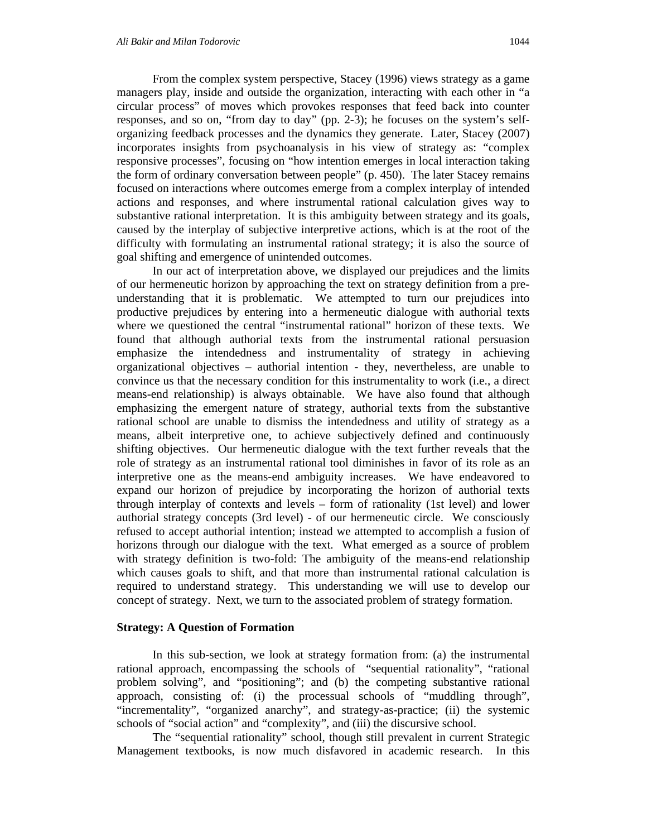From the complex system perspective, Stacey (1996) views strategy as a game managers play, inside and outside the organization, interacting with each other in "a circular process" of moves which provokes responses that feed back into counter responses, and so on, "from day to day" (pp. 2-3); he focuses on the system's selforganizing feedback processes and the dynamics they generate. Later, Stacey (2007) incorporates insights from psychoanalysis in his view of strategy as: "complex responsive processes", focusing on "how intention emerges in local interaction taking the form of ordinary conversation between people" (p. 450). The later Stacey remains focused on interactions where outcomes emerge from a complex interplay of intended actions and responses, and where instrumental rational calculation gives way to substantive rational interpretation. It is this ambiguity between strategy and its goals, caused by the interplay of subjective interpretive actions, which is at the root of the difficulty with formulating an instrumental rational strategy; it is also the source of goal shifting and emergence of unintended outcomes.

In our act of interpretation above, we displayed our prejudices and the limits of our hermeneutic horizon by approaching the text on strategy definition from a preunderstanding that it is problematic. We attempted to turn our prejudices into productive prejudices by entering into a hermeneutic dialogue with authorial texts where we questioned the central "instrumental rational" horizon of these texts. We found that although authorial texts from the instrumental rational persuasion emphasize the intendedness and instrumentality of strategy in achieving organizational objectives – authorial intention - they, nevertheless, are unable to convince us that the necessary condition for this instrumentality to work (i.e., a direct means-end relationship) is always obtainable. We have also found that although emphasizing the emergent nature of strategy, authorial texts from the substantive rational school are unable to dismiss the intendedness and utility of strategy as a means, albeit interpretive one, to achieve subjectively defined and continuously shifting objectives. Our hermeneutic dialogue with the text further reveals that the role of strategy as an instrumental rational tool diminishes in favor of its role as an interpretive one as the means-end ambiguity increases. We have endeavored to expand our horizon of prejudice by incorporating the horizon of authorial texts through interplay of contexts and levels – form of rationality (1st level) and lower authorial strategy concepts (3rd level) - of our hermeneutic circle. We consciously refused to accept authorial intention; instead we attempted to accomplish a fusion of horizons through our dialogue with the text. What emerged as a source of problem with strategy definition is two-fold: The ambiguity of the means-end relationship which causes goals to shift, and that more than instrumental rational calculation is required to understand strategy. This understanding we will use to develop our concept of strategy. Next, we turn to the associated problem of strategy formation.

#### **Strategy: A Question of Formation**

In this sub-section, we look at strategy formation from: (a) the instrumental rational approach, encompassing the schools of "sequential rationality", "rational problem solving", and "positioning"; and (b) the competing substantive rational approach, consisting of: (i) the processual schools of "muddling through", "incrementality", "organized anarchy", and strategy-as-practice; (ii) the systemic schools of "social action" and "complexity", and (iii) the discursive school.

The "sequential rationality" school, though still prevalent in current Strategic Management textbooks, is now much disfavored in academic research. In this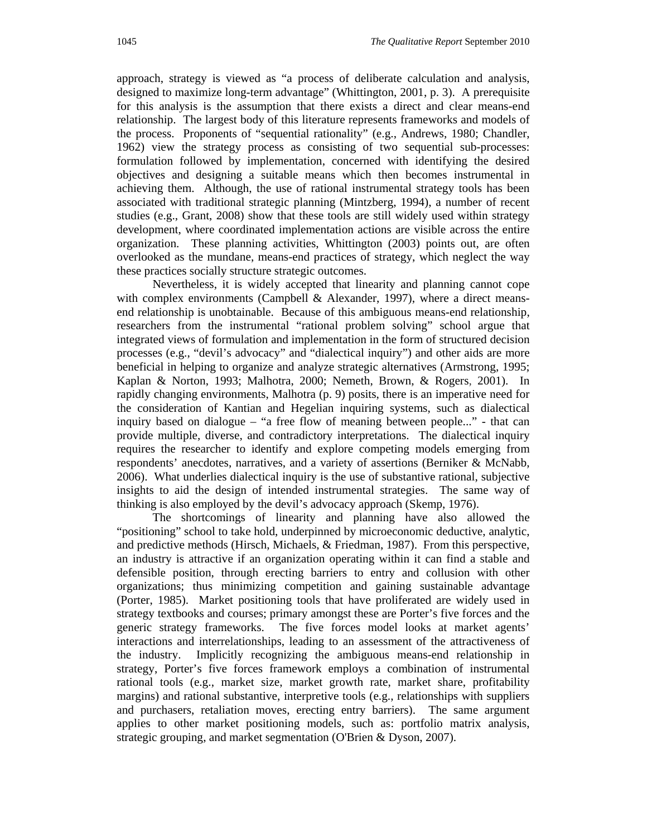approach, strategy is viewed as "a process of deliberate calculation and analysis, designed to maximize long-term advantage" (Whittington, 2001, p. 3). A prerequisite for this analysis is the assumption that there exists a direct and clear means-end relationship. The largest body of this literature represents frameworks and models of the process. Proponents of "sequential rationality" (e.g., Andrews, 1980; Chandler, 1962) view the strategy process as consisting of two sequential sub-processes: formulation followed by implementation, concerned with identifying the desired objectives and designing a suitable means which then becomes instrumental in achieving them. Although, the use of rational instrumental strategy tools has been associated with traditional strategic planning (Mintzberg, 1994), a number of recent studies (e.g., Grant, 2008) show that these tools are still widely used within strategy development, where coordinated implementation actions are visible across the entire organization. These planning activities, Whittington (2003) points out, are often overlooked as the mundane, means-end practices of strategy, which neglect the way these practices socially structure strategic outcomes.

Nevertheless, it is widely accepted that linearity and planning cannot cope with complex environments (Campbell & Alexander, 1997), where a direct meansend relationship is unobtainable. Because of this ambiguous means-end relationship, researchers from the instrumental "rational problem solving" school argue that integrated views of formulation and implementation in the form of structured decision processes (e.g., "devil's advocacy" and "dialectical inquiry") and other aids are more beneficial in helping to organize and analyze strategic alternatives (Armstrong, 1995; Kaplan & Norton, 1993; Malhotra, 2000; Nemeth, Brown, & Rogers, 2001). In rapidly changing environments, Malhotra (p. 9) posits, there is an imperative need for the consideration of Kantian and Hegelian inquiring systems, such as dialectical inquiry based on dialogue – "a free flow of meaning between people..." - that can provide multiple, diverse, and contradictory interpretations. The dialectical inquiry requires the researcher to identify and explore competing models emerging from respondents' anecdotes, narratives, and a variety of assertions (Berniker & McNabb, 2006). What underlies dialectical inquiry is the use of substantive rational, subjective insights to aid the design of intended instrumental strategies. The same way of thinking is also employed by the devil's advocacy approach (Skemp, 1976).

The shortcomings of linearity and planning have also allowed the "positioning" school to take hold, underpinned by microeconomic deductive, analytic, and predictive methods (Hirsch, Michaels, & Friedman, 1987). From this perspective, an industry is attractive if an organization operating within it can find a stable and defensible position, through erecting barriers to entry and collusion with other organizations; thus minimizing competition and gaining sustainable advantage (Porter, 1985). Market positioning tools that have proliferated are widely used in strategy textbooks and courses; primary amongst these are Porter's five forces and the generic strategy frameworks. The five forces model looks at market agents' interactions and interrelationships, leading to an assessment of the attractiveness of the industry. Implicitly recognizing the ambiguous means-end relationship in strategy, Porter's five forces framework employs a combination of instrumental rational tools (e.g., market size, market growth rate, market share, profitability margins) and rational substantive, interpretive tools (e.g., relationships with suppliers and purchasers, retaliation moves, erecting entry barriers). The same argument applies to other market positioning models, such as: portfolio matrix analysis, strategic grouping, and market segmentation (O'Brien & Dyson, 2007).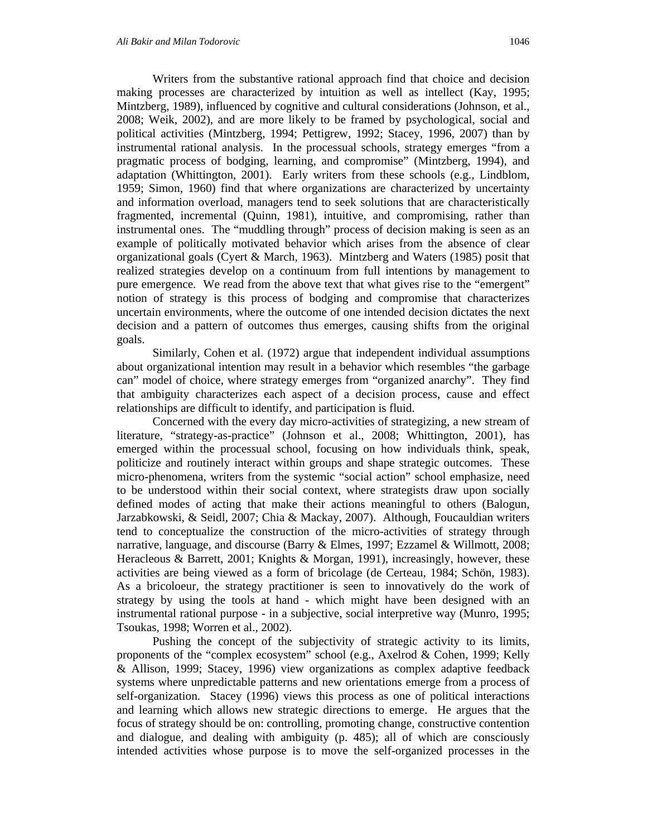Writers from the substantive rational approach find that choice and decision making processes are characterized by intuition as well as intellect (Kay, 1995; Mintzberg, 1989), influenced by cognitive and cultural considerations (Johnson, et al., 2008; Weik, 2002), and are more likely to be framed by psychological, social and political activities (Mintzberg, 1994; Pettigrew, 1992; Stacey, 1996, 2007) than by instrumental rational analysis. In the processual schools, strategy emerges "from a pragmatic process of bodging, learning, and compromise" (Mintzberg, 1994), and adaptation (Whittington, 2001). Early writers from these schools (e.g., Lindblom, 1959; Simon, 1960) find that where organizations are characterized by uncertainty and information overload, managers tend to seek solutions that are characteristically fragmented, incremental (Quinn, 1981), intuitive, and compromising, rather than instrumental ones. The "muddling through" process of decision making is seen as an example of politically motivated behavior which arises from the absence of clear organizational goals (Cyert & March, 1963). Mintzberg and Waters (1985) posit that realized strategies develop on a continuum from full intentions by management to pure emergence. We read from the above text that what gives rise to the "emergent" notion of strategy is this process of bodging and compromise that characterizes uncertain environments, where the outcome of one intended decision dictates the next decision and a pattern of outcomes thus emerges, causing shifts from the original goals.

Similarly, Cohen et al. (1972) argue that independent individual assumptions about organizational intention may result in a behavior which resembles "the garbage can" model of choice, where strategy emerges from "organized anarchy". They find that ambiguity characterizes each aspect of a decision process, cause and effect relationships are difficult to identify, and participation is fluid.

Concerned with the every day micro-activities of strategizing, a new stream of literature, "strategy-as-practice" (Johnson et al., 2008; Whittington, 2001), has emerged within the processual school, focusing on how individuals think, speak, politicize and routinely interact within groups and shape strategic outcomes. These micro-phenomena, writers from the systemic "social action" school emphasize, need to be understood within their social context, where strategists draw upon socially defined modes of acting that make their actions meaningful to others (Balogun, Jarzabkowski, & Seidl, 2007; Chia & Mackay, 2007). Although, Foucauldian writers tend to conceptualize the construction of the micro-activities of strategy through narrative, language, and discourse (Barry & Elmes, 1997; Ezzamel & Willmott, 2008; Heracleous & Barrett, 2001; Knights & Morgan, 1991), increasingly, however, these activities are being viewed as a form of bricolage (de Certeau, 1984; Schön, 1983). As a bricoloeur, the strategy practitioner is seen to innovatively do the work of strategy by using the tools at hand - which might have been designed with an instrumental rational purpose - in a subjective, social interpretive way (Munro, 1995; Tsoukas, 1998; Worren et al., 2002).

Pushing the concept of the subjectivity of strategic activity to its limits, proponents of the "complex ecosystem" school (e.g., Axelrod & Cohen, 1999; Kelly & Allison, 1999; Stacey, 1996) view organizations as complex adaptive feedback systems where unpredictable patterns and new orientations emerge from a process of self-organization. Stacey (1996) views this process as one of political interactions and learning which allows new strategic directions to emerge. He argues that the focus of strategy should be on: controlling, promoting change, constructive contention and dialogue, and dealing with ambiguity (p. 485); all of which are consciously intended activities whose purpose is to move the self-organized processes in the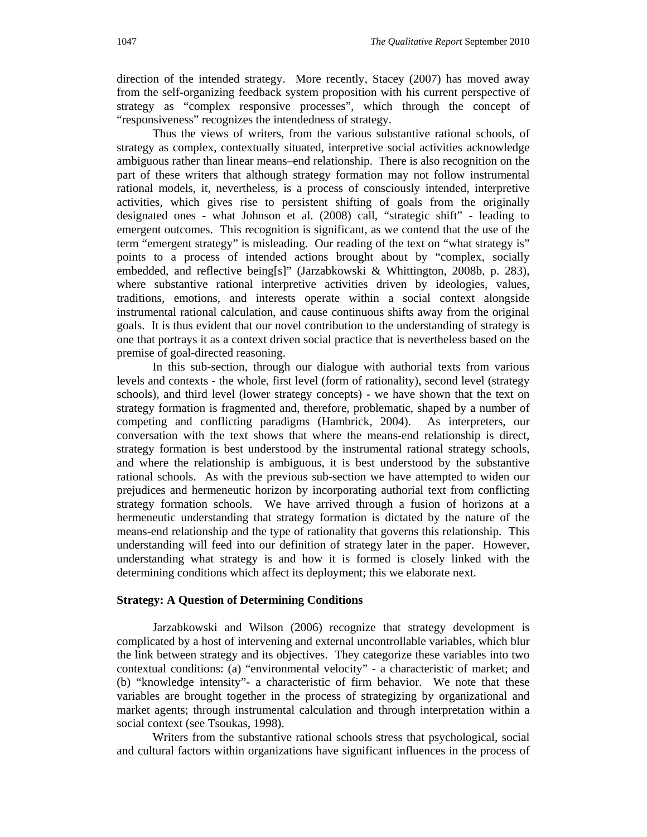direction of the intended strategy. More recently, Stacey (2007) has moved away from the self-organizing feedback system proposition with his current perspective of strategy as "complex responsive processes", which through the concept of "responsiveness" recognizes the intendedness of strategy.

Thus the views of writers, from the various substantive rational schools, of strategy as complex, contextually situated, interpretive social activities acknowledge ambiguous rather than linear means–end relationship. There is also recognition on the part of these writers that although strategy formation may not follow instrumental rational models, it, nevertheless, is a process of consciously intended, interpretive activities, which gives rise to persistent shifting of goals from the originally designated ones - what Johnson et al. (2008) call, "strategic shift" - leading to emergent outcomes. This recognition is significant, as we contend that the use of the term "emergent strategy" is misleading. Our reading of the text on "what strategy is" points to a process of intended actions brought about by "complex, socially embedded, and reflective being[s]" (Jarzabkowski & Whittington, 2008b, p. 283), where substantive rational interpretive activities driven by ideologies, values, traditions, emotions, and interests operate within a social context alongside instrumental rational calculation, and cause continuous shifts away from the original goals. It is thus evident that our novel contribution to the understanding of strategy is one that portrays it as a context driven social practice that is nevertheless based on the premise of goal-directed reasoning.

In this sub-section, through our dialogue with authorial texts from various levels and contexts - the whole, first level (form of rationality), second level (strategy schools), and third level (lower strategy concepts) - we have shown that the text on strategy formation is fragmented and, therefore, problematic, shaped by a number of competing and conflicting paradigms (Hambrick, 2004). As interpreters, our conversation with the text shows that where the means-end relationship is direct, strategy formation is best understood by the instrumental rational strategy schools, and where the relationship is ambiguous, it is best understood by the substantive rational schools. As with the previous sub-section we have attempted to widen our prejudices and hermeneutic horizon by incorporating authorial text from conflicting strategy formation schools. We have arrived through a fusion of horizons at a hermeneutic understanding that strategy formation is dictated by the nature of the means-end relationship and the type of rationality that governs this relationship. This understanding will feed into our definition of strategy later in the paper. However, understanding what strategy is and how it is formed is closely linked with the determining conditions which affect its deployment; this we elaborate next.

#### **Strategy: A Question of Determining Conditions**

Jarzabkowski and Wilson (2006) recognize that strategy development is complicated by a host of intervening and external uncontrollable variables, which blur the link between strategy and its objectives. They categorize these variables into two contextual conditions: (a) "environmental velocity" - a characteristic of market; and (b) "knowledge intensity"- a characteristic of firm behavior. We note that these variables are brought together in the process of strategizing by organizational and market agents; through instrumental calculation and through interpretation within a social context (see Tsoukas, 1998).

Writers from the substantive rational schools stress that psychological, social and cultural factors within organizations have significant influences in the process of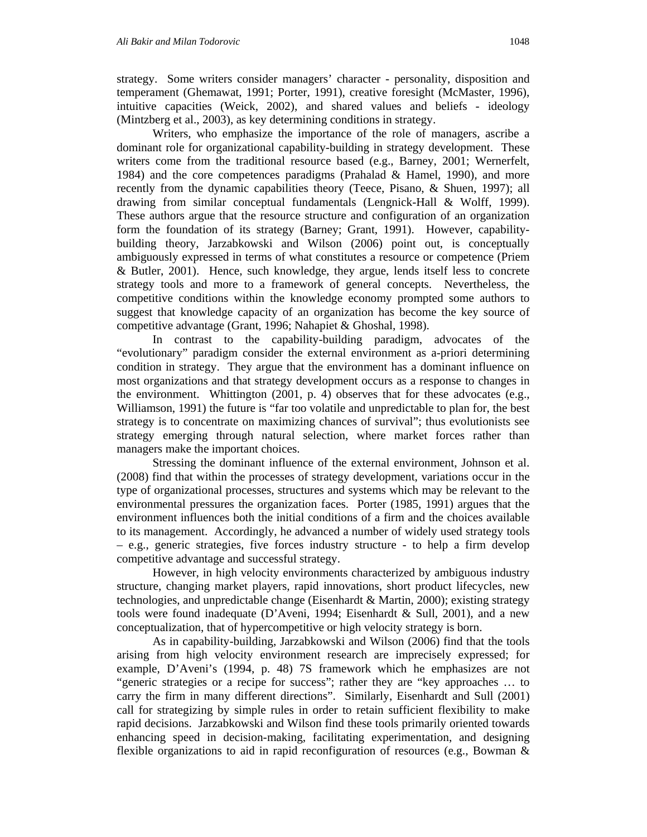strategy. Some writers consider managers' character - personality, disposition and temperament (Ghemawat, 1991; Porter, 1991), creative foresight (McMaster, 1996), intuitive capacities (Weick, 2002), and shared values and beliefs - ideology (Mintzberg et al., 2003), as key determining conditions in strategy.

Writers, who emphasize the importance of the role of managers, ascribe a dominant role for organizational capability-building in strategy development. These writers come from the traditional resource based (e.g., Barney, 2001; Wernerfelt, 1984) and the core competences paradigms (Prahalad & Hamel, 1990), and more recently from the dynamic capabilities theory (Teece, Pisano, & Shuen, 1997); all drawing from similar conceptual fundamentals (Lengnick-Hall & Wolff, 1999). These authors argue that the resource structure and configuration of an organization form the foundation of its strategy (Barney; Grant, 1991). However, capabilitybuilding theory, Jarzabkowski and Wilson (2006) point out, is conceptually ambiguously expressed in terms of what constitutes a resource or competence (Priem & Butler, 2001). Hence, such knowledge, they argue, lends itself less to concrete strategy tools and more to a framework of general concepts. Nevertheless, the competitive conditions within the knowledge economy prompted some authors to suggest that knowledge capacity of an organization has become the key source of competitive advantage (Grant, 1996; Nahapiet & Ghoshal, 1998).

In contrast to the capability-building paradigm, advocates of the "evolutionary" paradigm consider the external environment as a-priori determining condition in strategy. They argue that the environment has a dominant influence on most organizations and that strategy development occurs as a response to changes in the environment. Whittington (2001, p. 4) observes that for these advocates (e.g., Williamson, 1991) the future is "far too volatile and unpredictable to plan for, the best strategy is to concentrate on maximizing chances of survival"; thus evolutionists see strategy emerging through natural selection, where market forces rather than managers make the important choices.

Stressing the dominant influence of the external environment, Johnson et al. (2008) find that within the processes of strategy development, variations occur in the type of organizational processes, structures and systems which may be relevant to the environmental pressures the organization faces. Porter (1985, 1991) argues that the environment influences both the initial conditions of a firm and the choices available to its management. Accordingly, he advanced a number of widely used strategy tools – e.g., generic strategies, five forces industry structure - to help a firm develop competitive advantage and successful strategy.

However, in high velocity environments characterized by ambiguous industry structure, changing market players, rapid innovations, short product lifecycles, new technologies, and unpredictable change (Eisenhardt & Martin, 2000); existing strategy tools were found inadequate (D'Aveni, 1994; Eisenhardt & Sull, 2001), and a new conceptualization, that of hypercompetitive or high velocity strategy is born.

As in capability-building, Jarzabkowski and Wilson (2006) find that the tools arising from high velocity environment research are imprecisely expressed; for example, D'Aveni's (1994, p. 48) 7S framework which he emphasizes are not "generic strategies or a recipe for success"; rather they are "key approaches … to carry the firm in many different directions". Similarly, Eisenhardt and Sull (2001) call for strategizing by simple rules in order to retain sufficient flexibility to make rapid decisions. Jarzabkowski and Wilson find these tools primarily oriented towards enhancing speed in decision-making, facilitating experimentation, and designing flexible organizations to aid in rapid reconfiguration of resources (e.g., Bowman &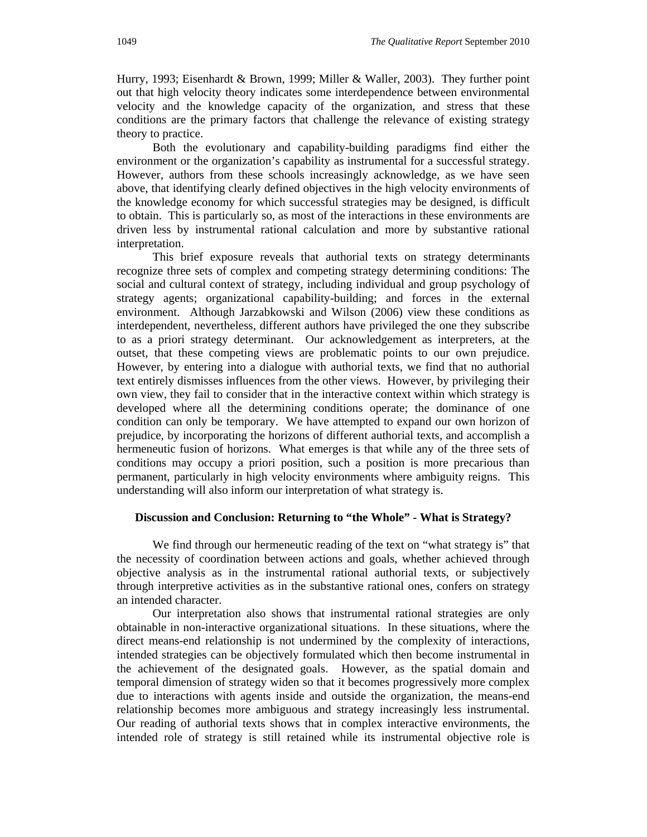Hurry, 1993; Eisenhardt & Brown, 1999; Miller & Waller, 2003). They further point out that high velocity theory indicates some interdependence between environmental velocity and the knowledge capacity of the organization, and stress that these conditions are the primary factors that challenge the relevance of existing strategy theory to practice.

Both the evolutionary and capability-building paradigms find either the environment or the organization's capability as instrumental for a successful strategy. However, authors from these schools increasingly acknowledge, as we have seen above, that identifying clearly defined objectives in the high velocity environments of the knowledge economy for which successful strategies may be designed, is difficult to obtain. This is particularly so, as most of the interactions in these environments are driven less by instrumental rational calculation and more by substantive rational interpretation.

This brief exposure reveals that authorial texts on strategy determinants recognize three sets of complex and competing strategy determining conditions: The social and cultural context of strategy, including individual and group psychology of strategy agents; organizational capability-building; and forces in the external environment. Although Jarzabkowski and Wilson (2006) view these conditions as interdependent, nevertheless, different authors have privileged the one they subscribe to as a priori strategy determinant. Our acknowledgement as interpreters, at the outset, that these competing views are problematic points to our own prejudice. However, by entering into a dialogue with authorial texts, we find that no authorial text entirely dismisses influences from the other views. However, by privileging their own view, they fail to consider that in the interactive context within which strategy is developed where all the determining conditions operate; the dominance of one condition can only be temporary. We have attempted to expand our own horizon of prejudice, by incorporating the horizons of different authorial texts, and accomplish a hermeneutic fusion of horizons. What emerges is that while any of the three sets of conditions may occupy a priori position, such a position is more precarious than permanent, particularly in high velocity environments where ambiguity reigns. This understanding will also inform our interpretation of what strategy is.

#### **Discussion and Conclusion: Returning to "the Whole" - What is Strategy?**

We find through our hermeneutic reading of the text on "what strategy is" that the necessity of coordination between actions and goals, whether achieved through objective analysis as in the instrumental rational authorial texts, or subjectively through interpretive activities as in the substantive rational ones, confers on strategy an intended character.

Our interpretation also shows that instrumental rational strategies are only obtainable in non-interactive organizational situations. In these situations, where the direct means-end relationship is not undermined by the complexity of interactions, intended strategies can be objectively formulated which then become instrumental in the achievement of the designated goals. However, as the spatial domain and temporal dimension of strategy widen so that it becomes progressively more complex due to interactions with agents inside and outside the organization, the means-end relationship becomes more ambiguous and strategy increasingly less instrumental. Our reading of authorial texts shows that in complex interactive environments, the intended role of strategy is still retained while its instrumental objective role is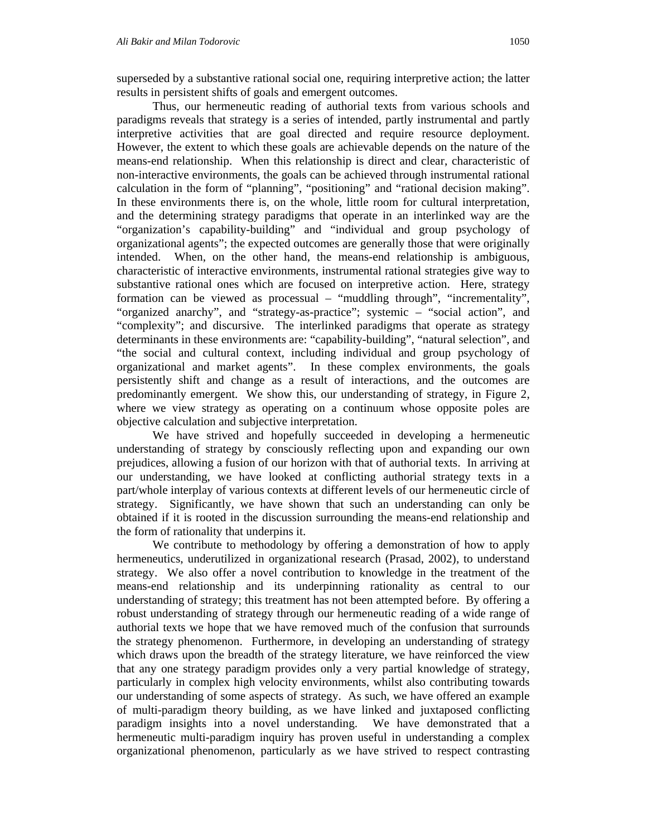superseded by a substantive rational social one, requiring interpretive action; the latter results in persistent shifts of goals and emergent outcomes.

Thus, our hermeneutic reading of authorial texts from various schools and paradigms reveals that strategy is a series of intended, partly instrumental and partly interpretive activities that are goal directed and require resource deployment. However, the extent to which these goals are achievable depends on the nature of the means-end relationship. When this relationship is direct and clear, characteristic of non-interactive environments, the goals can be achieved through instrumental rational calculation in the form of "planning", "positioning" and "rational decision making". In these environments there is, on the whole, little room for cultural interpretation, and the determining strategy paradigms that operate in an interlinked way are the "organization's capability-building" and "individual and group psychology of organizational agents"; the expected outcomes are generally those that were originally intended. When, on the other hand, the means-end relationship is ambiguous, characteristic of interactive environments, instrumental rational strategies give way to substantive rational ones which are focused on interpretive action. Here, strategy formation can be viewed as processual – "muddling through", "incrementality", "organized anarchy", and "strategy-as-practice"; systemic – "social action", and "complexity"; and discursive. The interlinked paradigms that operate as strategy determinants in these environments are: "capability-building", "natural selection", and "the social and cultural context, including individual and group psychology of organizational and market agents". In these complex environments, the goals persistently shift and change as a result of interactions, and the outcomes are predominantly emergent. We show this, our understanding of strategy, in Figure 2, where we view strategy as operating on a continuum whose opposite poles are objective calculation and subjective interpretation.

We have strived and hopefully succeeded in developing a hermeneutic understanding of strategy by consciously reflecting upon and expanding our own prejudices, allowing a fusion of our horizon with that of authorial texts. In arriving at our understanding, we have looked at conflicting authorial strategy texts in a part/whole interplay of various contexts at different levels of our hermeneutic circle of strategy. Significantly, we have shown that such an understanding can only be obtained if it is rooted in the discussion surrounding the means-end relationship and the form of rationality that underpins it.

We contribute to methodology by offering a demonstration of how to apply hermeneutics, underutilized in organizational research (Prasad, 2002), to understand strategy. We also offer a novel contribution to knowledge in the treatment of the means-end relationship and its underpinning rationality as central to our understanding of strategy; this treatment has not been attempted before. By offering a robust understanding of strategy through our hermeneutic reading of a wide range of authorial texts we hope that we have removed much of the confusion that surrounds the strategy phenomenon. Furthermore, in developing an understanding of strategy which draws upon the breadth of the strategy literature, we have reinforced the view that any one strategy paradigm provides only a very partial knowledge of strategy, particularly in complex high velocity environments, whilst also contributing towards our understanding of some aspects of strategy. As such, we have offered an example of multi-paradigm theory building, as we have linked and juxtaposed conflicting paradigm insights into a novel understanding. We have demonstrated that a hermeneutic multi-paradigm inquiry has proven useful in understanding a complex organizational phenomenon, particularly as we have strived to respect contrasting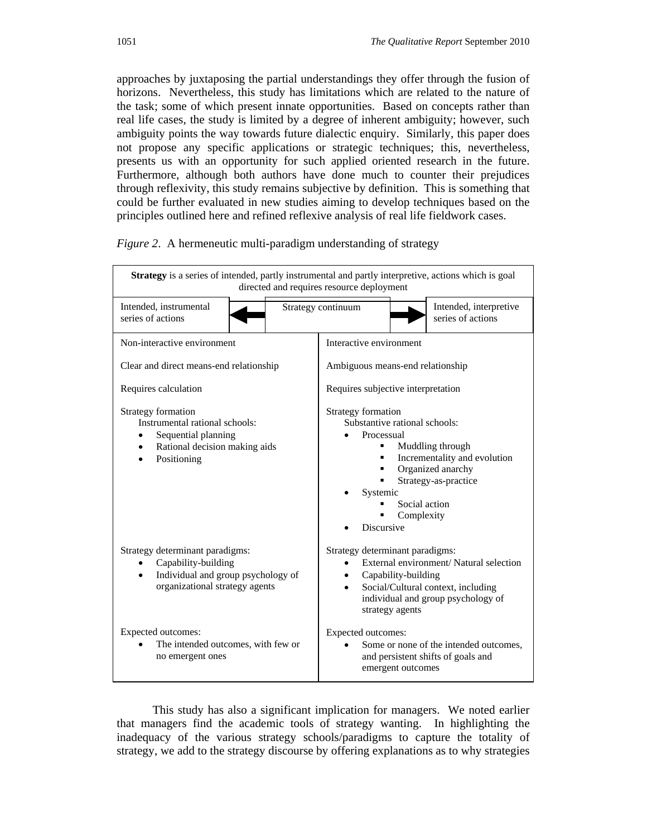approaches by juxtaposing the partial understandings they offer through the fusion of horizons. Nevertheless, this study has limitations which are related to the nature of the task; some of which present innate opportunities. Based on concepts rather than real life cases, the study is limited by a degree of inherent ambiguity; however, such ambiguity points the way towards future dialectic enquiry. Similarly, this paper does not propose any specific applications or strategic techniques; this, nevertheless, presents us with an opportunity for such applied oriented research in the future. Furthermore, although both authors have done much to counter their prejudices through reflexivity, this study remains subjective by definition. This is something that could be further evaluated in new studies aiming to develop techniques based on the principles outlined here and refined reflexive analysis of real life fieldwork cases.



*Figure 2*. A hermeneutic multi-paradigm understanding of strategy

This study has also a significant implication for managers. We noted earlier that managers find the academic tools of strategy wanting. In highlighting the inadequacy of the various strategy schools/paradigms to capture the totality of strategy, we add to the strategy discourse by offering explanations as to why strategies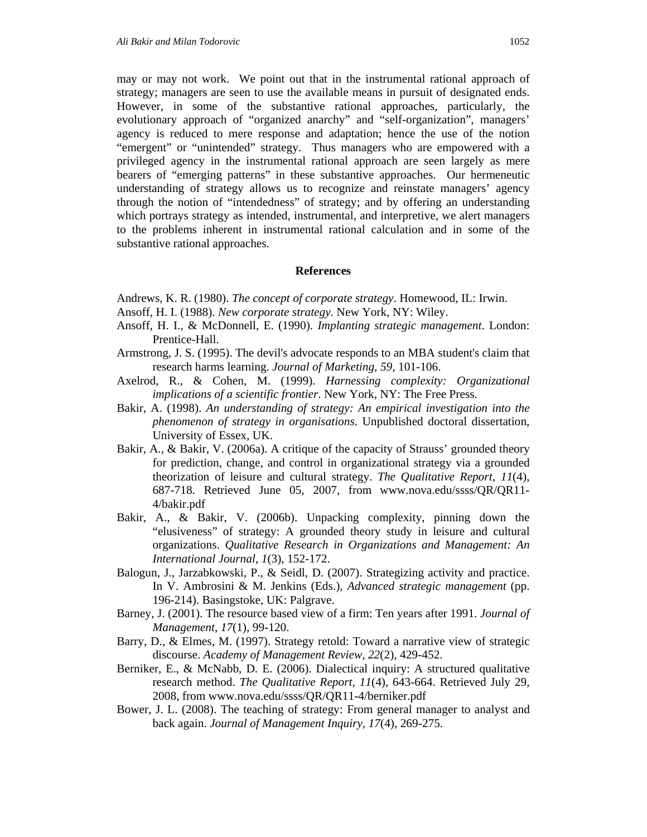may or may not work. We point out that in the instrumental rational approach of strategy; managers are seen to use the available means in pursuit of designated ends. However, in some of the substantive rational approaches, particularly, the evolutionary approach of "organized anarchy" and "self-organization", managers' agency is reduced to mere response and adaptation; hence the use of the notion "emergent" or "unintended" strategy. Thus managers who are empowered with a privileged agency in the instrumental rational approach are seen largely as mere bearers of "emerging patterns" in these substantive approaches. Our hermeneutic understanding of strategy allows us to recognize and reinstate managers' agency through the notion of "intendedness" of strategy; and by offering an understanding which portrays strategy as intended, instrumental, and interpretive, we alert managers to the problems inherent in instrumental rational calculation and in some of the substantive rational approaches.

#### **References**

- Andrews, K. R. (1980). *The concept of corporate strategy*. Homewood, IL: Irwin.
- Ansoff, H. I. (1988). *New corporate strategy*. New York, NY: Wiley.
- Ansoff, H. I., & McDonnell, E. (1990). *Implanting strategic management*. London: Prentice-Hall.
- Armstrong, J. S. (1995). The devil's advocate responds to an MBA student's claim that research harms learning. *Journal of Marketing*, *59*, 101-106.
- Axelrod, R., & Cohen, M. (1999). *Harnessing complexity: Organizational implications of a scientific frontier*. New York, NY: The Free Press.
- Bakir, A. (1998). *An understanding of strategy: An empirical investigation into the phenomenon of strategy in organisations*. Unpublished doctoral dissertation, University of Essex, UK.
- Bakir, A., & Bakir, V. (2006a). A critique of the capacity of Strauss' grounded theory for prediction, change, and control in organizational strategy via a grounded theorization of leisure and cultural strategy. *The Qualitative Report*, *11*(4), 687-718. Retrieved June 05, 2007, from www.nova.edu/ssss/QR/QR11- 4/bakir.pdf
- Bakir, A., & Bakir, V. (2006b). Unpacking complexity, pinning down the "elusiveness" of strategy: A grounded theory study in leisure and cultural organizations. *Qualitative Research in Organizations and Management: An International Journal*, *1*(3), 152-172.
- Balogun, J., Jarzabkowski, P., & Seidl, D. (2007). Strategizing activity and practice. In V. Ambrosini & M. Jenkins (Eds.), *Advanced strategic management* (pp. 196-214). Basingstoke, UK: Palgrave.
- Barney, J. (2001). The resource based view of a firm: Ten years after 1991. *Journal of Management*, *17*(1), 99-120.
- Barry, D., & Elmes, M. (1997). Strategy retold: Toward a narrative view of strategic discourse. *Academy of Management Review*, *22*(2), 429-452.
- Berniker, E., & McNabb, D. E. (2006). Dialectical inquiry: A structured qualitative research method. *The Qualitative Report*, *11*(4), 643-664. Retrieved July 29, 2008, from www.nova.edu/ssss/QR/QR11-4/berniker.pdf
- Bower, J. L. (2008). The teaching of strategy: From general manager to analyst and back again. *Journal of Management Inquiry*, *17*(4), 269-275.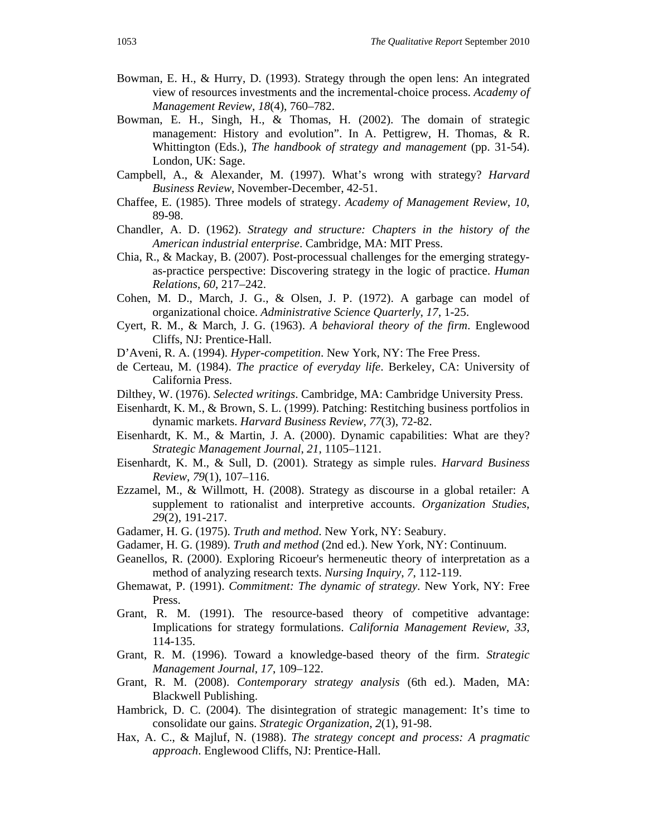- Bowman, E. H., & Hurry, D. (1993). Strategy through the open lens: An integrated view of resources investments and the incremental-choice process. *Academy of Management Review*, *18*(4), 760–782.
- Bowman, E. H., Singh, H., & Thomas, H. (2002). The domain of strategic management: History and evolution". In A. Pettigrew, H. Thomas, & R. Whittington (Eds.), *The handbook of strategy and management* (pp. 31-54). London, UK: Sage.
- Campbell, A., & Alexander, M. (1997). What's wrong with strategy? *Harvard Business Review*, November-December, 42-51.
- Chaffee, E. (1985). Three models of strategy. *Academy of Management Review*, *10*, 89-98.
- Chandler, A. D. (1962). *Strategy and structure: Chapters in the history of the American industrial enterprise*. Cambridge, MA: MIT Press.
- Chia, R., & Mackay, B. (2007). Post-processual challenges for the emerging strategyas-practice perspective: Discovering strategy in the logic of practice. *Human Relations*, *60*, 217–242.
- Cohen, M. D., March, J. G., & Olsen, J. P. (1972). A garbage can model of organizational choice. *Administrative Science Quarterly*, *17*, 1-25.
- Cyert, R. M., & March, J. G. (1963). *A behavioral theory of the firm*. Englewood Cliffs, NJ: Prentice-Hall.
- D'Aveni, R. A. (1994). *Hyper-competition*. New York, NY: The Free Press.
- de Certeau, M. (1984). *The practice of everyday life*. Berkeley, CA: University of California Press.
- Dilthey, W. (1976). *Selected writings*. Cambridge, MA: Cambridge University Press.
- Eisenhardt, K. M., & Brown, S. L. (1999). Patching: Restitching business portfolios in dynamic markets. *Harvard Business Review*, *77*(3), 72-82.
- Eisenhardt, K. M., & Martin, J. A. (2000). Dynamic capabilities: What are they? *Strategic Management Journal*, *21*, 1105–1121.
- Eisenhardt, K. M., & Sull, D. (2001). Strategy as simple rules. *Harvard Business Review*, *79*(1), 107–116.
- Ezzamel, M., & Willmott, H. (2008). Strategy as discourse in a global retailer: A supplement to rationalist and interpretive accounts. *Organization Studies*, *29*(2), 191-217.
- Gadamer, H. G. (1975). *Truth and method*. New York, NY: Seabury.
- Gadamer, H. G. (1989). *Truth and method* (2nd ed.). New York, NY: Continuum.
- Geanellos, R. (2000). Exploring Ricoeur's hermeneutic theory of interpretation as a method of analyzing research texts. *Nursing Inquiry*, *7*, 112-119.
- Ghemawat, P. (1991). *Commitment: The dynamic of strategy*. New York, NY: Free Press.
- Grant, R. M. (1991). The resource-based theory of competitive advantage: Implications for strategy formulations. *California Management Review*, *33*, 114-135.
- Grant, R. M. (1996). Toward a knowledge-based theory of the firm. *Strategic Management Journal*, *17*, 109–122.
- Grant, R. M. (2008). *Contemporary strategy analysis* (6th ed.). Maden, MA: Blackwell Publishing.
- Hambrick, D. C. (2004). The disintegration of strategic management: It's time to consolidate our gains. *Strategic Organization*, *2*(1), 91-98.
- Hax, A. C., & Majluf, N. (1988). *The strategy concept and process: A pragmatic approach*. Englewood Cliffs, NJ: Prentice-Hall.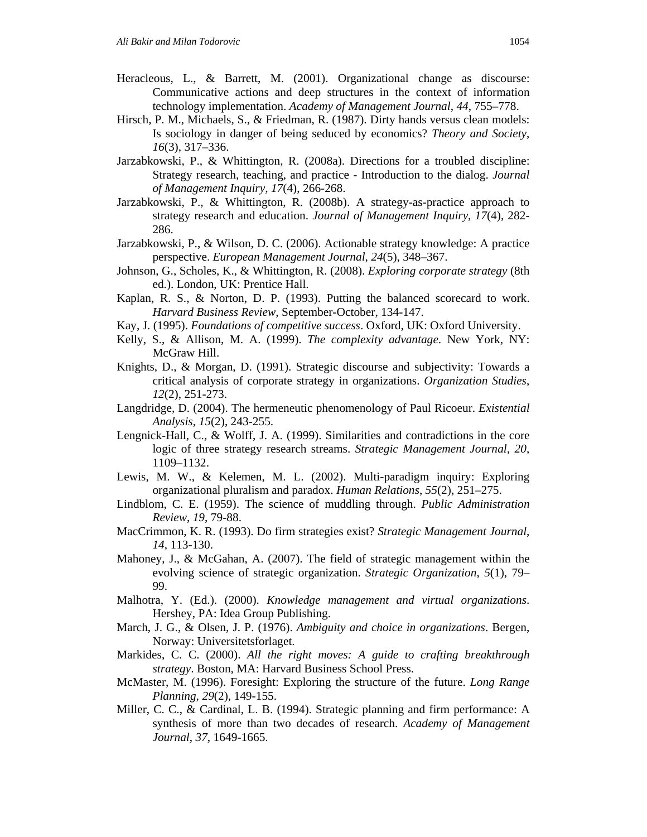- Heracleous, L., & Barrett, M. (2001). Organizational change as discourse: Communicative actions and deep structures in the context of information technology implementation. *Academy of Management Journal*, *44*, 755–778.
- Hirsch, P. M., Michaels, S., & Friedman, R. (1987). Dirty hands versus clean models: Is sociology in danger of being seduced by economics? *Theory and Society*, *16*(3), 317–336.
- Jarzabkowski, P., & Whittington, R. (2008a). Directions for a troubled discipline: Strategy research, teaching, and practice - Introduction to the dialog. *Journal of Management Inquiry, 17*(4), 266-268.
- Jarzabkowski, P., & Whittington, R. (2008b). A strategy-as-practice approach to strategy research and education. *Journal of Management Inquiry*, *17*(4), 282- 286.
- Jarzabkowski, P., & Wilson, D. C. (2006). Actionable strategy knowledge: A practice perspective. *European Management Journal*, *24*(5), 348–367.
- Johnson, G., Scholes, K., & Whittington, R. (2008). *Exploring corporate strategy* (8th ed.). London, UK: Prentice Hall.
- Kaplan, R. S., & Norton, D. P. (1993). Putting the balanced scorecard to work. *Harvard Business Review*, September-October, 134-147.
- Kay, J. (1995). *Foundations of competitive success*. Oxford, UK: Oxford University.
- Kelly, S., & Allison, M. A. (1999). *The complexity advantage*. New York, NY: McGraw Hill.
- Knights, D., & Morgan, D. (1991). Strategic discourse and subjectivity: Towards a critical analysis of corporate strategy in organizations. *Organization Studies*, *12*(2), 251-273.
- Langdridge, D. (2004). The hermeneutic phenomenology of Paul Ricoeur. *Existential Analysis*, *15*(2), 243-255.
- Lengnick-Hall, C., & Wolff, J. A. (1999). Similarities and contradictions in the core logic of three strategy research streams. *Strategic Management Journal*, *20*, 1109–1132.
- Lewis, M. W., & Kelemen, M. L. (2002). Multi-paradigm inquiry: Exploring organizational pluralism and paradox. *Human Relations*, *55*(2), 251–275.
- Lindblom, C. E. (1959). The science of muddling through. *Public Administration Review*, *19*, 79-88.
- MacCrimmon, K. R. (1993). Do firm strategies exist? *Strategic Management Journal*, *14*, 113-130.
- Mahoney, J., & McGahan, A. (2007). The field of strategic management within the evolving science of strategic organization. *Strategic Organization*, *5*(1), 79– 99.
- Malhotra, Y. (Ed.). (2000). *Knowledge management and virtual organizations*. Hershey, PA: Idea Group Publishing.
- March, J. G., & Olsen, J. P. (1976). *Ambiguity and choice in organizations*. Bergen, Norway: Universitetsforlaget.
- Markides, C. C. (2000). *All the right moves: A guide to crafting breakthrough strategy*. Boston, MA: Harvard Business School Press.
- McMaster, M. (1996). Foresight: Exploring the structure of the future. *Long Range Planning*, *29*(2), 149-155.
- Miller, C. C., & Cardinal, L. B. (1994). Strategic planning and firm performance: A synthesis of more than two decades of research. *Academy of Management Journal*, *37*, 1649-1665.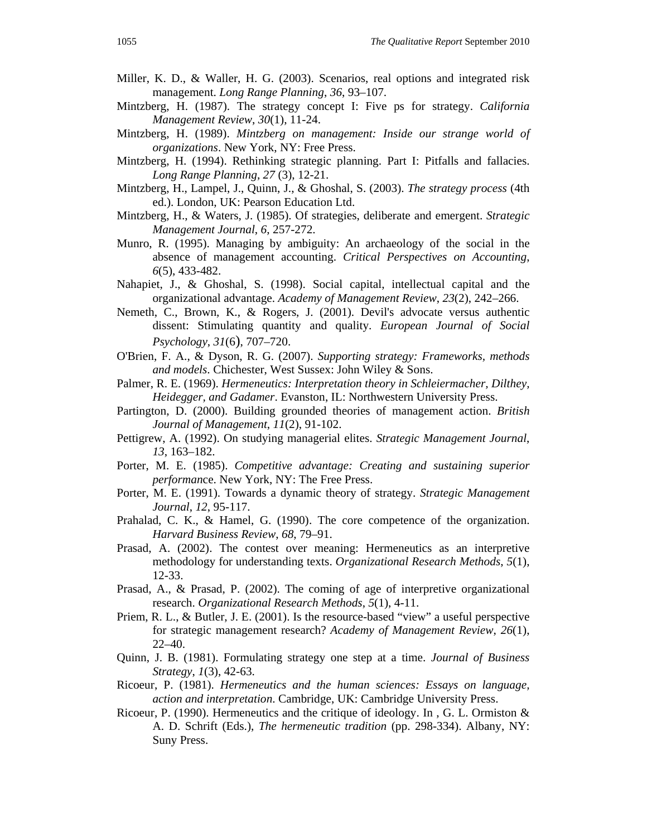- Miller, K. D., & Waller, H. G. (2003). Scenarios, real options and integrated risk management. *Long Range Planning*, *36*, 93–107.
- Mintzberg, H. (1987). The strategy concept I: Five ps for strategy. *California Management Review*, *30*(1), 11-24.
- Mintzberg, H. (1989). *Mintzberg on management: Inside our strange world of organizations*. New York, NY: Free Press.
- Mintzberg, H. (1994). Rethinking strategic planning. Part I: Pitfalls and fallacies. *Long Range Planning*, *27* (3), 12-21.
- Mintzberg, H., Lampel, J., Quinn, J., & Ghoshal, S. (2003). *The strategy process* (4th ed.). London, UK: Pearson Education Ltd.
- Mintzberg, H., & Waters, J. (1985). Of strategies, deliberate and emergent. *Strategic Management Journal*, *6*, 257-272.
- Munro, R. (1995). Managing by ambiguity: An archaeology of the social in the absence of management accounting. *Critical Perspectives on Accounting*, *6*(5), 433-482.
- Nahapiet, J., & Ghoshal, S. (1998). Social capital, intellectual capital and the organizational advantage. *Academy of Management Review*, *23*(2), 242–266.
- Nemeth, C., Brown, K., & Rogers, J. (2001). Devil's advocate versus authentic dissent: Stimulating quantity and quality. *European Journal of Social Psychology*, *31*(6), 707–720.
- O'Brien, F. A., & Dyson, R. G. (2007). *Supporting strategy: Frameworks, methods and models*. Chichester, West Sussex: John Wiley & Sons.
- Palmer, R. E. (1969). *Hermeneutics: Interpretation theory in Schleiermacher, Dilthey, Heidegger, and Gadamer*. Evanston, IL: Northwestern University Press.
- Partington, D. (2000). Building grounded theories of management action. *British Journal of Management*, *11*(2), 91-102.
- Pettigrew, A. (1992). On studying managerial elites. *Strategic Management Journal*, *13*, 163–182.
- Porter, M. E. (1985). *Competitive advantage: Creating and sustaining superior performan*ce. New York, NY: The Free Press.
- Porter, M. E. (1991). Towards a dynamic theory of strategy. *Strategic Management Journal*, *12*, 95-117.
- Prahalad, C. K., & Hamel, G. (1990). The core competence of the organization. *Harvard Business Review*, *68*, 79–91.
- Prasad, A. (2002). The contest over meaning: Hermeneutics as an interpretive methodology for understanding texts. *Organizational Research Methods*, *5*(1), 12-33.
- Prasad, A., & Prasad, P. (2002). The coming of age of interpretive organizational research. *Organizational Research Methods*, *5*(1), 4-11.
- Priem, R. L., & Butler, J. E. (2001). Is the resource-based "view" a useful perspective for strategic management research? *Academy of Management Review*, *26*(1), 22–40.
- Quinn, J. B. (1981). Formulating strategy one step at a time. *Journal of Business Strategy*, *1*(3), 42-63.
- Ricoeur, P. (1981). *Hermeneutics and the human sciences: Essays on language, action and interpretation*. Cambridge, UK: Cambridge University Press.
- Ricoeur, P. (1990). Hermeneutics and the critique of ideology. In , G. L. Ormiston & A. D. Schrift (Eds.), *The hermeneutic tradition* (pp. 298-334). Albany, NY: Suny Press.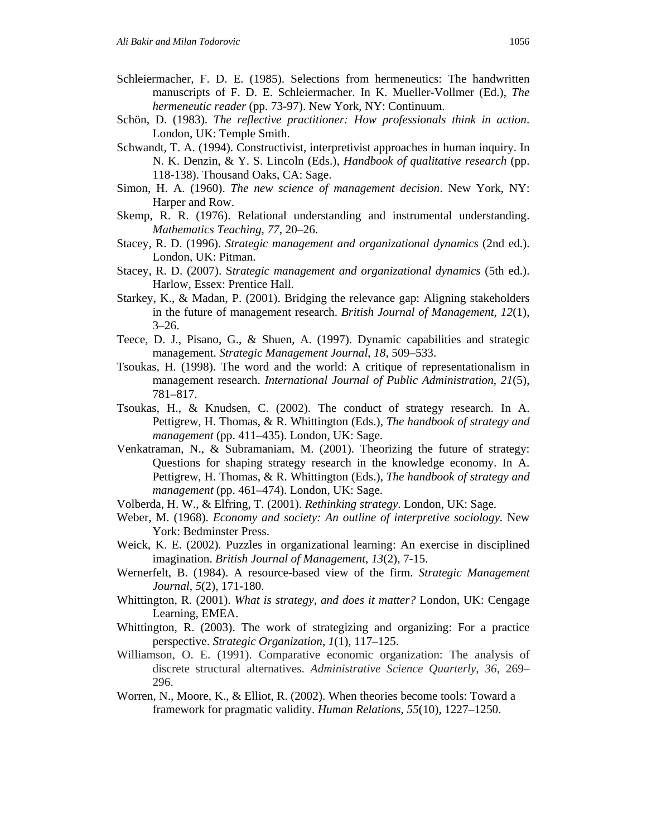- Schleiermacher, F. D. E. (1985). Selections from hermeneutics: The handwritten manuscripts of F. D. E. Schleiermacher. In K. Mueller-Vollmer (Ed.), *The hermeneutic reader* (pp. 73-97). New York, NY: Continuum.
- Schön, D. (1983). *The reflective practitioner: How professionals think in action*. London, UK: Temple Smith.
- Schwandt, T. A. (1994). Constructivist, interpretivist approaches in human inquiry. In N. K. Denzin, & Y. S. Lincoln (Eds.), *Handbook of qualitative research* (pp. 118-138). Thousand Oaks, CA: Sage.
- Simon, H. A. (1960). *The new science of management decision*. New York, NY: Harper and Row.
- Skemp, R. R. (1976). Relational understanding and instrumental understanding. *Mathematics Teaching*, *77*, 20–26.
- Stacey, R. D. (1996). *Strategic management and organizational dynamics* (2nd ed.). London, UK: Pitman.
- Stacey, R. D. (2007). S*trategic management and organizational dynamics* (5th ed.). Harlow, Essex: Prentice Hall.
- Starkey, K., & Madan, P. (2001). Bridging the relevance gap: Aligning stakeholders in the future of management research. *British Journal of Management*, *12*(1),  $3 - 26.$
- Teece, D. J., Pisano, G., & Shuen, A. (1997). Dynamic capabilities and strategic management. *Strategic Management Journal*, *18*, 509–533.
- Tsoukas, H. (1998). The word and the world: A critique of representationalism in management research. *International Journal of Public Administration*, *21*(5), 781–817.
- Tsoukas, H., & Knudsen, C. (2002). The conduct of strategy research. In A. Pettigrew, H. Thomas, & R. Whittington (Eds.), *The handbook of strategy and management* (pp. 411–435). London, UK: Sage.
- Venkatraman, N., & Subramaniam, M. (2001). Theorizing the future of strategy: Questions for shaping strategy research in the knowledge economy. In A. Pettigrew, H. Thomas, & R. Whittington (Eds.), *The handbook of strategy and management* (pp. 461–474). London, UK: Sage.
- Volberda, H. W., & Elfring, T. (2001). *Rethinking strategy*. London, UK: Sage.
- Weber, M. (1968). *Economy and society: An outline of interpretive sociology*. New York: Bedminster Press.
- Weick, K. E. (2002). Puzzles in organizational learning: An exercise in disciplined imagination. *British Journal of Management*, *13*(2), 7-15.
- Wernerfelt, B. (1984). A resource-based view of the firm. *Strategic Management Journal*, *5*(2), 171-180.
- Whittington, R. (2001). *What is strategy, and does it matter?* London, UK: Cengage Learning, EMEA.
- Whittington, R. (2003). The work of strategizing and organizing: For a practice perspective. *Strategic Organization*, *1*(1), 117–125.
- Williamson, O. E. (1991). Comparative economic organization: The analysis of discrete structural alternatives. *Administrative Science Quarterly*, *36*, 269– 296.
- Worren, N., Moore, K., & Elliot, R. (2002). When theories become tools: Toward a framework for pragmatic validity. *Human Relations*, *55*(10), 1227–1250.